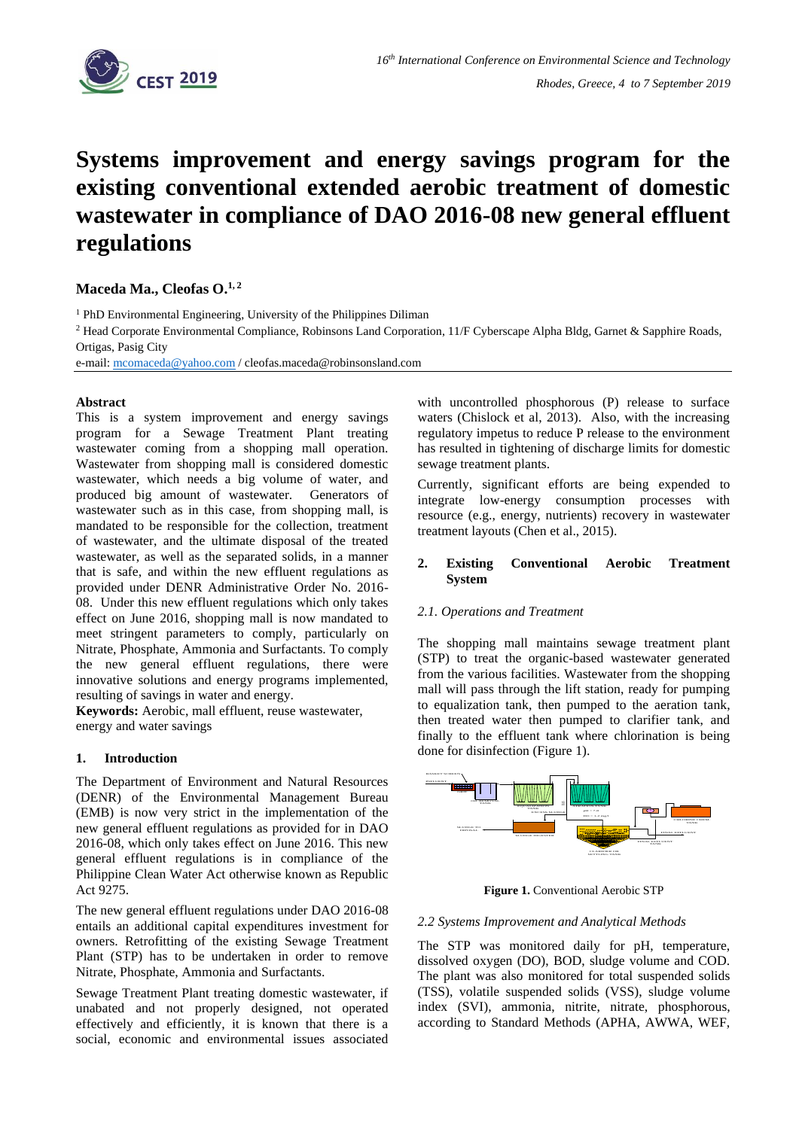

# **Systems improvement and energy savings program for the existing conventional extended aerobic treatment of domestic wastewater in compliance of DAO 2016-08 new general effluent regulations**

**Maceda Ma., Cleofas O.1, 2**

<sup>1</sup> PhD Environmental Engineering, University of the Philippines Diliman

<sup>2</sup> Head Corporate Environmental Compliance, Robinsons Land Corporation, 11/F Cyberscape Alpha Bldg, Garnet & Sapphire Roads, Ortigas, Pasig City

e-mail: [mcomaceda@yahoo.com](mailto:mcomaceda@yahoo.com) / cleofas.maceda@robinsonsland.com

#### **Abstract**

This is a system improvement and energy savings program for a Sewage Treatment Plant treating wastewater coming from a shopping mall operation. Wastewater from shopping mall is considered domestic wastewater, which needs a big volume of water, and produced big amount of wastewater. Generators of wastewater such as in this case, from shopping mall, is mandated to be responsible for the collection, treatment of wastewater, and the ultimate disposal of the treated wastewater, as well as the separated solids, in a manner that is safe, and within the new effluent regulations as provided under DENR Administrative Order No. 2016- 08. Under this new effluent regulations which only takes effect on June 2016, shopping mall is now mandated to meet stringent parameters to comply, particularly on Nitrate, Phosphate, Ammonia and Surfactants. To comply the new general effluent regulations, there were innovative solutions and energy programs implemented, resulting of savings in water and energy.

**Keywords:** Aerobic, mall effluent, reuse wastewater, energy and water savings

#### **1. Introduction**

The Department of Environment and Natural Resources (DENR) of the Environmental Management Bureau (EMB) is now very strict in the implementation of the new general effluent regulations as provided for in DAO 2016-08, which only takes effect on June 2016. This new general effluent regulations is in compliance of the Philippine Clean Water Act otherwise known as Republic Act 9275.

The new general effluent regulations under DAO 2016-08 entails an additional capital expenditures investment for owners. Retrofitting of the existing Sewage Treatment Plant (STP) has to be undertaken in order to remove Nitrate, Phosphate, Ammonia and Surfactants.

Sewage Treatment Plant treating domestic wastewater, if unabated and not properly designed, not operated effectively and efficiently, it is known that there is a social, economic and environmental issues associated

with uncontrolled phosphorous (P) release to surface waters (Chislock et al, 2013). Also, with the increasing regulatory impetus to reduce P release to the environment has resulted in tightening of discharge limits for domestic sewage treatment plants.

Currently, significant efforts are being expended to integrate low-energy consumption processes with resource (e.g., energy, nutrients) recovery in wastewater treatment layouts (Chen et al., 2015).

## **2. Existing Conventional Aerobic Treatment System**

#### *2.1. Operations and Treatment*

The shopping mall maintains sewage treatment plant (STP) to treat the organic-based wastewater generated from the various facilities. Wastewater from the shopping mall will pass through the lift station, ready for pumping to equalization tank, then pumped to the aeration tank, then treated water then pumped to clarifier tank, and finally to the effluent tank where chlorination is being done for disinfection (Figure 1).



**Figure 1.** Conventional Aerobic STP

#### *2.2 Systems Improvement and Analytical Methods*

The STP was monitored daily for pH, temperature, dissolved oxygen (DO), BOD, sludge volume and COD. The plant was also monitored for total suspended solids (TSS), volatile suspended solids (VSS), sludge volume index (SVI), ammonia, nitrite, nitrate, phosphorous, according to Standard Methods (APHA, AWWA, WEF,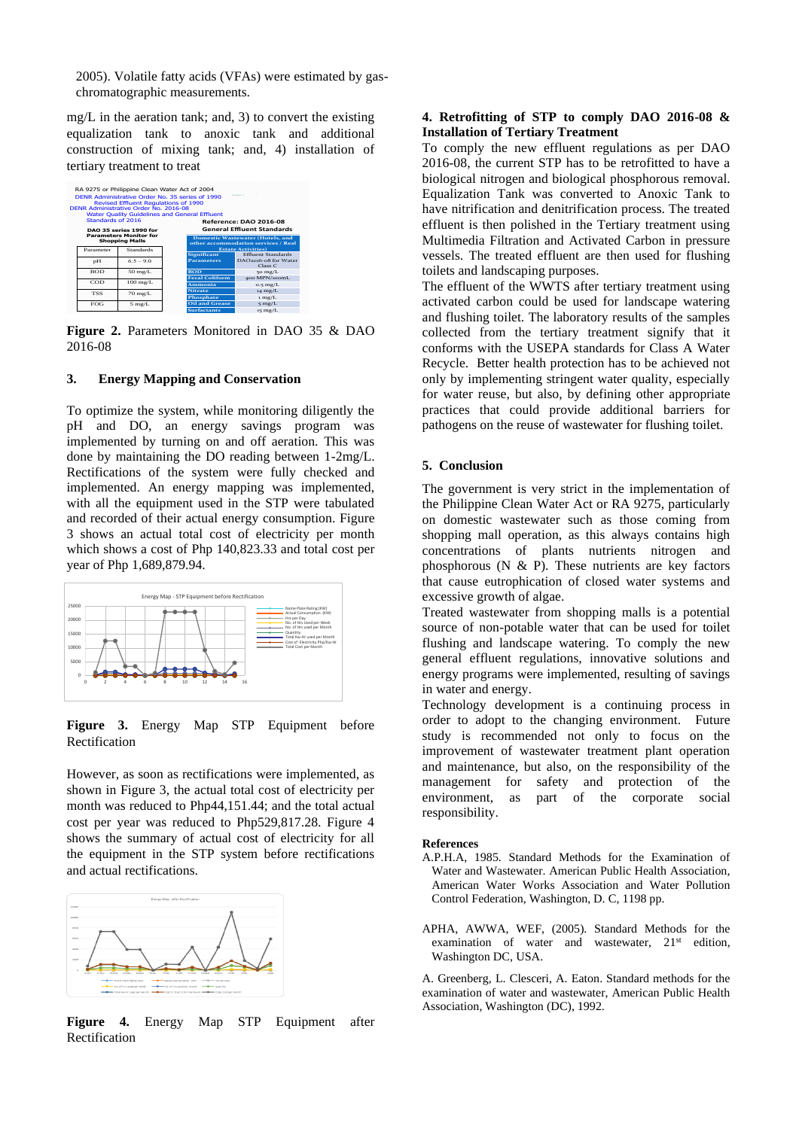2005). Volatile fatty acids (VFAs) were estimated by gaschromatographic measurements.

mg/L in the aeration tank; and, 3) to convert the existing equalization tank to anoxic tank and additional construction of mixing tank; and, 4) installation of tertiary treatment to treat

|                                                        |            | RA 9275 or Philippine Clean Water Act of 2004<br>DENR Administrative Order No. 35 series of 1990<br><b>Revised Effluent Requlations of 1990</b><br>DENR Administrative Order No. 2016-08<br><b>Water Ouality Guidelines and General Effluent</b> |  |                                                                                |                                                         |
|--------------------------------------------------------|------------|--------------------------------------------------------------------------------------------------------------------------------------------------------------------------------------------------------------------------------------------------|--|--------------------------------------------------------------------------------|---------------------------------------------------------|
| Standards of 2016<br><b>DAO 35 series 1990 for</b>     |            |                                                                                                                                                                                                                                                  |  | Reference: DAO 2016-08<br><b>General Effluent Standards</b>                    |                                                         |
| <b>Parameters Monitor for</b><br><b>Shopping Malls</b> |            |                                                                                                                                                                                                                                                  |  | <b>Domestic Wastewater (Hotels, and</b><br>other accommodation services / Real |                                                         |
|                                                        | Parameter  | <b>Standards</b>                                                                                                                                                                                                                                 |  | <b>Significant</b>                                                             | <b>Estate Activities</b> )<br><b>Effluent Standards</b> |
|                                                        | pH         | $65 - 90$                                                                                                                                                                                                                                        |  | <b>Parameters</b>                                                              | DAO2016-08 for Water<br>Case C                          |
|                                                        | <b>BOD</b> | $50 \text{ mg/L}$                                                                                                                                                                                                                                |  | <b>BOD</b>                                                                     | 50 mg/L                                                 |
|                                                        |            |                                                                                                                                                                                                                                                  |  | <b>Fecal Coliform</b>                                                          | 400 MPN/100mL                                           |
|                                                        | COD        | $100 \text{ mg/L}$                                                                                                                                                                                                                               |  | Ammonia                                                                        | $o.5$ mg/L                                              |
|                                                        | <b>TSS</b> | $70 \text{ mg/L}$                                                                                                                                                                                                                                |  | <b>Nitrate</b>                                                                 | $14$ mg/L                                               |
|                                                        |            |                                                                                                                                                                                                                                                  |  | Phosphate                                                                      | $1 \text{ mg/L}$                                        |
|                                                        | FOG        | $5$ mg/L                                                                                                                                                                                                                                         |  | <b>Oil and Grease</b>                                                          | $5$ mg/L                                                |
|                                                        |            |                                                                                                                                                                                                                                                  |  | <b>Surfactants</b>                                                             | $15 \text{ mg/L}$                                       |

**Figure 2.** Parameters Monitored in DAO 35 & DAO 2016-08

## **3. Energy Mapping and Conservation**

To optimize the system, while monitoring diligently the pH and DO, an energy savings program was implemented by turning on and off aeration. This was done by maintaining the DO reading between 1-2mg/L. Rectifications of the system were fully checked and implemented. An energy mapping was implemented, with all the equipment used in the STP were tabulated and recorded of their actual energy consumption. Figure 3 shows an actual total cost of electricity per month which shows a cost of Php 140,823.33 and total cost per year of Php 1,689,879.94.



**Figure 3.** Energy Map STP Equipment before Rectification

However, as soon as rectifications were implemented, as shown in Figure 3, the actual total cost of electricity per month was reduced to Php44,151.44; and the total actual cost per year was reduced to Php529,817.28. Figure 4 shows the summary of actual cost of electricity for all the equipment in the STP system before rectifications and actual rectifications.



**Figure 4.** Energy Map STP Equipment after Rectification

## **4. Retrofitting of STP to comply DAO 2016-08 & Installation of Tertiary Treatment**

To comply the new effluent regulations as per DAO 2016-08, the current STP has to be retrofitted to have a biological nitrogen and biological phosphorous removal. Equalization Tank was converted to Anoxic Tank to have nitrification and denitrification process. The treated effluent is then polished in the Tertiary treatment using Multimedia Filtration and Activated Carbon in pressure vessels. The treated effluent are then used for flushing toilets and landscaping purposes.

The effluent of the WWTS after tertiary treatment using activated carbon could be used for landscape watering and flushing toilet. The laboratory results of the samples collected from the tertiary treatment signify that it conforms with the USEPA standards for Class A Water Recycle. Better health protection has to be achieved not only by implementing stringent water quality, especially for water reuse, but also, by defining other appropriate practices that could provide additional barriers for pathogens on the reuse of wastewater for flushing toilet.

### **5. Conclusion**

The government is very strict in the implementation of the Philippine Clean Water Act or RA 9275, particularly on domestic wastewater such as those coming from shopping mall operation, as this always contains high concentrations of plants nutrients nitrogen and phosphorous (N  $\&$  P). These nutrients are key factors that cause eutrophication of closed water systems and excessive growth of algae.

Treated wastewater from shopping malls is a potential source of non-potable water that can be used for toilet flushing and landscape watering. To comply the new general effluent regulations, innovative solutions and energy programs were implemented, resulting of savings in water and energy.

Technology development is a continuing process in order to adopt to the changing environment. Future study is recommended not only to focus on the improvement of wastewater treatment plant operation and maintenance, but also, on the responsibility of the management for safety and protection of the environment, as part of the corporate social responsibility.

#### **References**

- A.P.H.A, 1985. Standard Methods for the Examination of Water and Wastewater. American Public Health Association, American Water Works Association and Water Pollution Control Federation, Washington, D. C, 1198 pp.
- APHA, AWWA, WEF, (2005). Standard Methods for the examination of water and wastewater, 21<sup>st</sup> edition, Washington DC, USA.

A. Greenberg, L. Clesceri, A. Eaton. Standard methods for the examination of water and wastewater, American Public Health Association, Washington (DC), 1992.